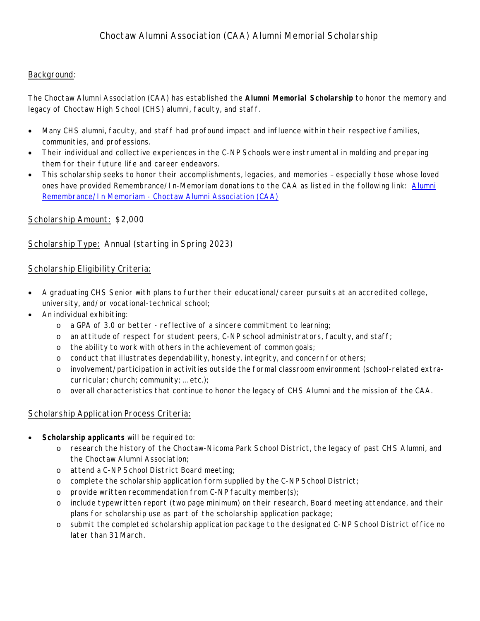## Background:

The Choctaw Alumni Association (CAA) has established the *Alumni Memorial Scholarship* to honor the memory and legacy of Choctaw High School (CHS) alumni, faculty, and staff.

- Many CHS alumni, faculty, and staff had profound impact and influence within their respective families, communities, and professions.
- Their individual and collective experiences in the C-NP Schools were instrumental in molding and preparing them for their future life and career endeavors.
- This scholarship seeks to honor their accomplishments, legacies, and memories especially those whose loved ones have provided Remembrance/In-Memoriam donations to the CAA as listed in the following link: Alumni Remembrance/In Memoriam - Choctaw Alumni Association (CAA)

# Scholarship Amount: \$2,000

# Scholarship Type: Annual (starting in Spring 2023)

## Scholarship Eligibility Criteria:

- A graduating CHS Senior with plans to further their educational/career pursuits at an accredited college, university, and/or vocational-technical school;
- An individual exhibiting:
	- o a GPA of 3.0 or better reflective of a sincere commitment to learning;
	- o an attitude of respect for student peers, C-NP school administrators, faculty, and staff;
	- o the ability to work with others in the achievement of common goals;
	- o conduct that illustrates dependability, honesty, integrity, and concern for others;
	- o involvement/participation in activities outside the formal classroom environment (school-related extracurricular; church; community; … etc.);
	- o overall characteristics that continue to honor the legacy of CHS Alumni and the mission of the CAA.

# Scholarship Application Process Criteria:

- **Scholarship applicants** will be required to:
	- o research the history of the Choctaw-Nicoma Park School District, the legacy of past CHS Alumni, and the Choctaw Alumni Association;
	- o attend a C-NP School District Board meeting;
	- o complete the scholarship application form supplied by the C-NP School District;
	- o provide written recommendation from C-NP faculty member(s);
	- o include typewritten report (two page minimum) on their research, Board meeting attendance, and their plans for scholarship use as part of the scholarship application package;
	- o submit the completed scholarship application package to the designated C-NP School District office no later than 31 March.